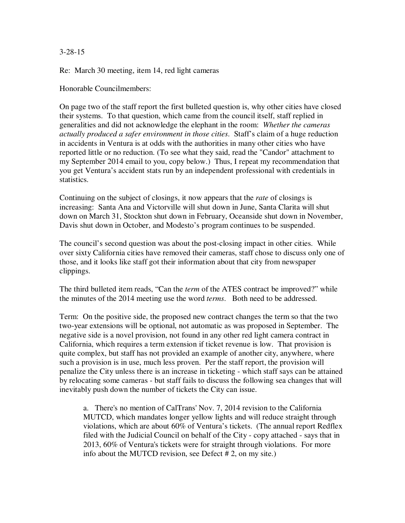#### 3-28-15

Re: March 30 meeting, item 14, red light cameras

Honorable Councilmembers:

On page two of the staff report the first bulleted question is, why other cities have closed their systems. To that question, which came from the council itself, staff replied in generalities and did not acknowledge the elephant in the room: *Whether the cameras actually produced a safer environment in those cities*. Staff's claim of a huge reduction in accidents in Ventura is at odds with the authorities in many other cities who have reported little or no reduction. (To see what they said, read the "Candor" attachment to my September 2014 email to you, copy below.) Thus, I repeat my recommendation that you get Ventura's accident stats run by an independent professional with credentials in statistics.

Continuing on the subject of closings, it now appears that the *rate* of closings is increasing: Santa Ana and Victorville will shut down in June, Santa Clarita will shut down on March 31, Stockton shut down in February, Oceanside shut down in November, Davis shut down in October, and Modesto's program continues to be suspended.

The council's second question was about the post-closing impact in other cities. While over sixty California cities have removed their cameras, staff chose to discuss only one of those, and it looks like staff got their information about that city from newspaper clippings.

The third bulleted item reads, "Can the *term* of the ATES contract be improved?" while the minutes of the 2014 meeting use the word *terms*. Both need to be addressed.

Term: On the positive side, the proposed new contract changes the term so that the two two-year extensions will be optional, not automatic as was proposed in September. The negative side is a novel provision, not found in any other red light camera contract in California, which requires a term extension if ticket revenue is low. That provision is quite complex, but staff has not provided an example of another city, anywhere, where such a provision is in use, much less proven. Per the staff report, the provision will penalize the City unless there is an increase in ticketing - which staff says can be attained by relocating some cameras - but staff fails to discuss the following sea changes that will inevitably push down the number of tickets the City can issue.

a. There's no mention of CalTrans' Nov. 7, 2014 revision to the California MUTCD, which mandates longer yellow lights and will reduce straight through violations, which are about 60% of Ventura's tickets. (The annual report Redflex filed with the Judicial Council on behalf of the City - copy attached - says that in 2013, 60% of Ventura's tickets were for straight through violations. For more info about the MUTCD revision, see Defect # 2, on my site.)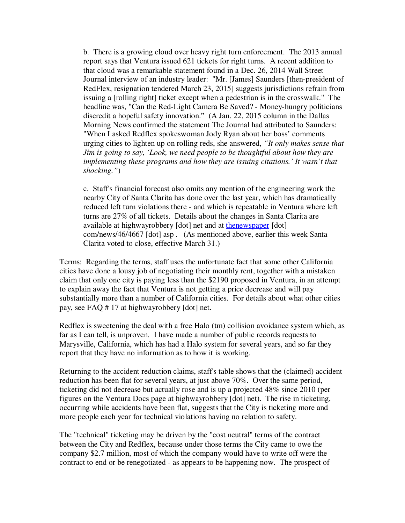b. There is a growing cloud over heavy right turn enforcement. The 2013 annual report says that Ventura issued 621 tickets for right turns. A recent addition to that cloud was a remarkable statement found in a Dec. 26, 2014 Wall Street Journal interview of an industry leader: "Mr. [James] Saunders [then-president of RedFlex, resignation tendered March 23, 2015] suggests jurisdictions refrain from issuing a [rolling right] ticket except when a pedestrian is in the crosswalk." The headline was, "Can the Red-Light Camera Be Saved? - Money-hungry politicians discredit a hopeful safety innovation." (A Jan. 22, 2015 column in the Dallas Morning News confirmed the statement The Journal had attributed to Saunders: "When I asked Redflex spokeswoman Jody Ryan about her boss' comments urging cities to lighten up on rolling reds, she answered, *"It only makes sense that Jim is going to say, 'Look, we need people to be thoughtful about how they are implementing these programs and how they are issuing citations.' It wasn't that shocking."*)

c. Staff's financial forecast also omits any mention of the engineering work the nearby City of Santa Clarita has done over the last year, which has dramatically reduced left turn violations there - and which is repeatable in Ventura where left turns are 27% of all tickets. Details about the changes in Santa Clarita are available at highwayrobbery [dot] net and at thenewspaper [dot] com/news/46/4667 [dot] asp . (As mentioned above, earlier this week Santa Clarita voted to close, effective March 31.)

Terms: Regarding the terms, staff uses the unfortunate fact that some other California cities have done a lousy job of negotiating their monthly rent, together with a mistaken claim that only one city is paying less than the \$2190 proposed in Ventura, in an attempt to explain away the fact that Ventura is not getting a price decrease and will pay substantially more than a number of California cities. For details about what other cities pay, see FAQ # 17 at highwayrobbery [dot] net.

Redflex is sweetening the deal with a free Halo (tm) collision avoidance system which, as far as I can tell, is unproven. I have made a number of public records requests to Marysville, California, which has had a Halo system for several years, and so far they report that they have no information as to how it is working.

Returning to the accident reduction claims, staff's table shows that the (claimed) accident reduction has been flat for several years, at just above 70%. Over the same period, ticketing did not decrease but actually rose and is up a projected 48% since 2010 (per figures on the Ventura Docs page at highwayrobbery [dot] net). The rise in ticketing, occurring while accidents have been flat, suggests that the City is ticketing more and more people each year for technical violations having no relation to safety.

The "technical" ticketing may be driven by the "cost neutral" terms of the contract between the City and Redflex, because under those terms the City came to owe the company \$2.7 million, most of which the company would have to write off were the contract to end or be renegotiated - as appears to be happening now. The prospect of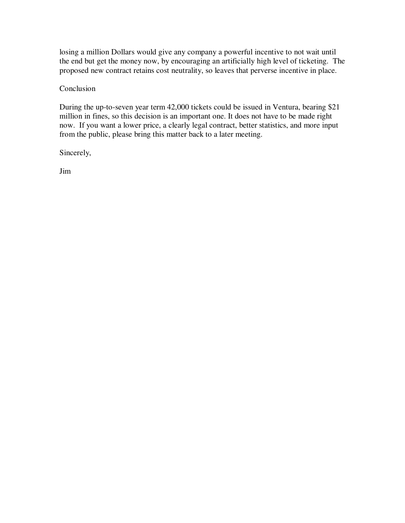losing a million Dollars would give any company a powerful incentive to not wait until the end but get the money now, by encouraging an artificially high level of ticketing. The proposed new contract retains cost neutrality, so leaves that perverse incentive in place.

**Conclusion** 

During the up-to-seven year term 42,000 tickets could be issued in Ventura, bearing \$21 million in fines, so this decision is an important one. It does not have to be made right now. If you want a lower price, a clearly legal contract, better statistics, and more input from the public, please bring this matter back to a later meeting.

Sincerely,

Jim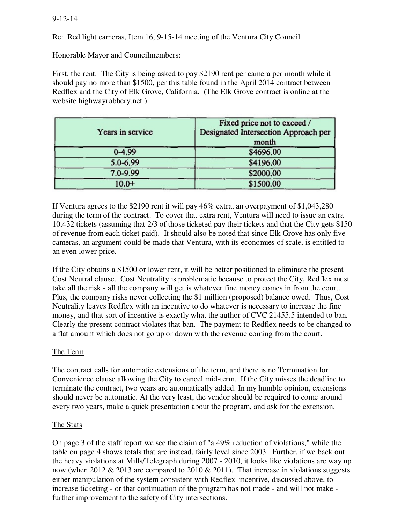### 9-12-14

Re: Red light cameras, Item 16, 9-15-14 meeting of the Ventura City Council

Honorable Mayor and Councilmembers:

First, the rent. The City is being asked to pay \$2190 rent per camera per month while it should pay no more than \$1500, per this table found in the April 2014 contract between Redflex and the City of Elk Grove, California. (The Elk Grove contract is online at the website highwayrobbery.net.)

| Years in service | Fixed price not to exceed /<br>Designated Intersection Approach per<br>month |
|------------------|------------------------------------------------------------------------------|
| $0 - 4.99$       | \$4696.00                                                                    |
| 5.0-6.99         | \$4196.00                                                                    |
| 7.0-9.99         | \$2000.00                                                                    |
| $10.0 +$         | \$1500.00                                                                    |

If Ventura agrees to the \$2190 rent it will pay 46% extra, an overpayment of \$1,043,280 during the term of the contract. To cover that extra rent, Ventura will need to issue an extra 10,432 tickets (assuming that 2/3 of those ticketed pay their tickets and that the City gets \$150 of revenue from each ticket paid). It should also be noted that since Elk Grove has only five cameras, an argument could be made that Ventura, with its economies of scale, is entitled to an even lower price.

If the City obtains a \$1500 or lower rent, it will be better positioned to eliminate the present Cost Neutral clause. Cost Neutrality is problematic because to protect the City, Redflex must take all the risk - all the company will get is whatever fine money comes in from the court. Plus, the company risks never collecting the \$1 million (proposed) balance owed. Thus, Cost Neutrality leaves Redflex with an incentive to do whatever is necessary to increase the fine money, and that sort of incentive is exactly what the author of CVC 21455.5 intended to ban. Clearly the present contract violates that ban. The payment to Redflex needs to be changed to a flat amount which does not go up or down with the revenue coming from the court.

# The Term

The contract calls for automatic extensions of the term, and there is no Termination for Convenience clause allowing the City to cancel mid-term. If the City misses the deadline to terminate the contract, two years are automatically added. In my humble opinion, extensions should never be automatic. At the very least, the vendor should be required to come around every two years, make a quick presentation about the program, and ask for the extension.

### The Stats

On page 3 of the staff report we see the claim of "a 49% reduction of violations," while the table on page 4 shows totals that are instead, fairly level since 2003. Further, if we back out the heavy violations at Mills/Telegraph during 2007 - 2010, it looks like violations are way up now (when 2012  $& 2013$  are compared to 2010  $& 2011$ ). That increase in violations suggests either manipulation of the system consistent with Redflex' incentive, discussed above, to increase ticketing - or that continuation of the program has not made - and will not make further improvement to the safety of City intersections.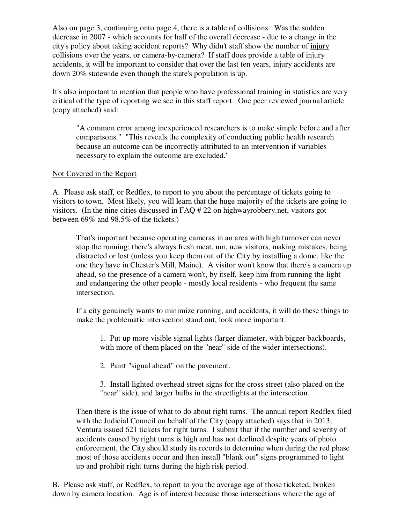Also on page 3, continuing onto page 4, there is a table of collisions. Was the sudden decrease in 2007 - which accounts for half of the overall decrease - due to a change in the city's policy about taking accident reports? Why didn't staff show the number of injury collisions over the years, or camera-by-camera? If staff does provide a table of injury accidents, it will be important to consider that over the last ten years, injury accidents are down 20% statewide even though the state's population is up.

It's also important to mention that people who have professional training in statistics are very critical of the type of reporting we see in this staff report. One peer reviewed journal article (copy attached) said:

"A common error among inexperienced researchers is to make simple before and after comparisons." "This reveals the complexity of conducting public health research because an outcome can be incorrectly attributed to an intervention if variables necessary to explain the outcome are excluded."

### Not Covered in the Report

A. Please ask staff, or Redflex, to report to you about the percentage of tickets going to visitors to town. Most likely, you will learn that the huge majority of the tickets are going to visitors. (In the nine cities discussed in FAQ # 22 on highwayrobbery.net, visitors got between 69% and 98.5% of the tickets.)

That's important because operating cameras in an area with high turnover can never stop the running; there's always fresh meat, um, new visitors, making mistakes, being distracted or lost (unless you keep them out of the City by installing a dome, like the one they have in Chester's Mill, Maine). A visitor won't know that there's a camera up ahead, so the presence of a camera won't, by itself, keep him from running the light and endangering the other people - mostly local residents - who frequent the same intersection.

If a city genuinely wants to minimize running, and accidents, it will do these things to make the problematic intersection stand out, look more important.

1. Put up more visible signal lights (larger diameter, with bigger backboards, with more of them placed on the "near" side of the wider intersections).

- 2. Paint "signal ahead" on the pavement.
- 3. Install lighted overhead street signs for the cross street (also placed on the "near" side), and larger bulbs in the streetlights at the intersection.

Then there is the issue of what to do about right turns. The annual report Redflex filed with the Judicial Council on behalf of the City (copy attached) says that in 2013, Ventura issued 621 tickets for right turns. I submit that if the number and severity of accidents caused by right turns is high and has not declined despite years of photo enforcement, the City should study its records to determine when during the red phase most of those accidents occur and then install "blank out" signs programmed to light up and prohibit right turns during the high risk period.

B. Please ask staff, or Redflex, to report to you the average age of those ticketed, broken down by camera location. Age is of interest because those intersections where the age of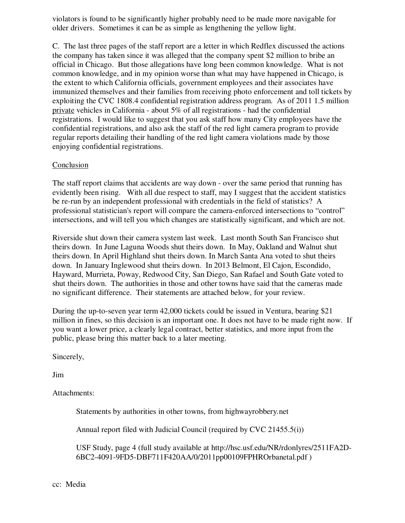violators is found to be significantly higher probably need to be made more navigable for older drivers. Sometimes it can be as simple as lengthening the yellow light.

C. The last three pages of the staff report are a letter in which Redflex discussed the actions the company has taken since it was alleged that the company spent \$2 million to bribe an official in Chicago. But those allegations have long been common knowledge. What is not common knowledge, and in my opinion worse than what may have happened in Chicago, is the extent to which California officials, government employees and their associates have immunized themselves and their families from receiving photo enforcement and toll tickets by exploiting the CVC 1808.4 confidential registration address program. As of 2011 1.5 million private vehicles in California - about 5% of all registrations - had the confidential registrations. I would like to suggest that you ask staff how many City employees have the confidential registrations, and also ask the staff of the red light camera program to provide regular reports detailing their handling of the red light camera violations made by those enjoying confidential registrations.

## **Conclusion**

The staff report claims that accidents are way down - over the same period that running has evidently been rising. With all due respect to staff, may I suggest that the accident statistics be re-run by an independent professional with credentials in the field of statistics? A professional statistician's report will compare the camera-enforced intersections to "control" intersections, and will tell you which changes are statistically significant, and which are not.

Riverside shut down their camera system last week. Last month South San Francisco shut theirs down. In June Laguna Woods shut theirs down. In May, Oakland and Walnut shut theirs down. In April Highland shut theirs down. In March Santa Ana voted to shut theirs down. In January Inglewood shut theirs down.In 2013 Belmont, El Cajon, Escondido, Hayward, Murrieta, Poway, Redwood City, San Diego, San Rafael and South Gate voted to shut theirs down. The authorities in those and other towns have said that the cameras made no significant difference. Their statements are attached below, for your review.

During the up-to-seven year term 42,000 tickets could be issued in Ventura, bearing \$21 million in fines, so this decision is an important one. It does not have to be made right now. If you want a lower price, a clearly legal contract, better statistics, and more input from the public, please bring this matter back to a later meeting.

Sincerely,

Jim

Attachments:

Statements by authorities in other towns, from highwayrobbery.net

Annual report filed with Judicial Council (required by CVC 21455.5(i))

USF Study, page 4 (full study available at http://hsc.usf.edu/NR/rdonlyres/2511FA2D-6BC2-4091-9FD5-DBF711F420AA/0/2011pp00109FPHROrbanetal.pdf )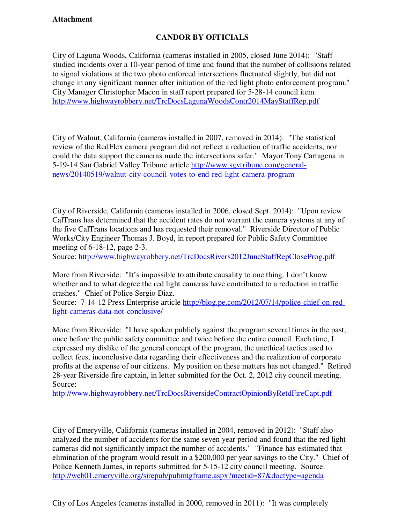# **Attachment**

# **CANDOR BY OFFICIALS**

City of Laguna Woods, California (cameras installed in 2005, closed June 2014): "Staff studied incidents over a 10-year period of time and found that the number of collisions related to signal violations at the two photo enforced intersections fluctuated slightly, but did not change in any significant manner after initiation of the red light photo enforcement program." City Manager Christopher Macon in staff report prepared for 5-28-14 council item. http://www.highwayrobbery.net/TrcDocsLagunaWoodsContr2014MayStaffRep.pdf

City of Walnut, California (cameras installed in 2007, removed in 2014): "The statistical review of the RedFlex camera program did not reflect a reduction of traffic accidents, nor could the data support the cameras made the intersections safer." Mayor Tony Cartagena in 5-19-14 San Gabriel Valley Tribune article http://www.sgvtribune.com/generalnews/20140519/walnut-city-council-votes-to-end-red-light-camera-program

City of Riverside, California (cameras installed in 2006, closed Sept. 2014): "Upon review CalTrans has determined that the accident rates do not warrant the camera systems at any of the five CalTrans locations and has requested their removal." Riverside Director of Public Works/City Engineer Thomas J. Boyd, in report prepared for Public Safety Committee meeting of 6-18-12, page 2-3.

Source: http://www.highwayrobbery.net/TrcDocsRivers2012JuneStaffRepCloseProg.pdf

More from Riverside: "It's impossible to attribute causality to one thing. I don't know whether and to what degree the red light cameras have contributed to a reduction in traffic crashes." Chief of Police Sergio Diaz.

Source: 7-14-12 Press Enterprise article http://blog.pe.com/2012/07/14/police-chief-on-redlight-cameras-data-not-conclusive/

More from Riverside: "I have spoken publicly against the program several times in the past, once before the public safety committee and twice before the entire council. Each time, I expressed my dislike of the general concept of the program, the unethical tactics used to collect fees, inconclusive data regarding their effectiveness and the realization of corporate profits at the expense of our citizens. My position on these matters has not changed." Retired 28-year Riverside fire captain, in letter submitted for the Oct. 2, 2012 city council meeting. Source:

http://www.highwayrobbery.net/TrcDocsRiversideContractOpinionByRetdFireCapt.pdf

City of Emeryville, California (cameras installed in 2004, removed in 2012): "Staff also analyzed the number of accidents for the same seven year period and found that the red light cameras did not significantly impact the number of accidents." "Finance has estimated that elimination of the program would result in a \$200,000 per year savings to the City." Chief of Police Kenneth James, in reports submitted for 5-15-12 city council meeting. Source: http://web01.emeryville.org/sirepub/pubmtgframe.aspx?meetid=87&doctype=agenda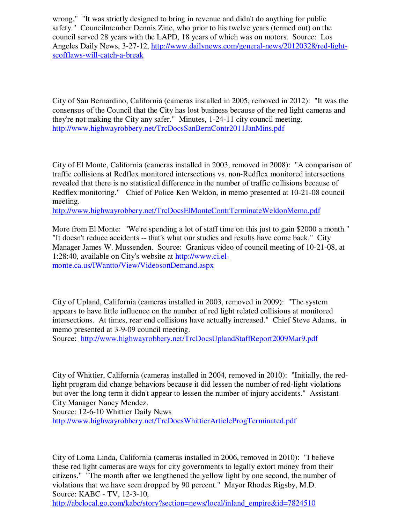wrong." "It was strictly designed to bring in revenue and didn't do anything for public safety." Councilmember Dennis Zine, who prior to his twelve years (termed out) on the council served 28 years with the LAPD, 18 years of which was on motors. Source: Los Angeles Daily News, 3-27-12, http://www.dailynews.com/general-news/20120328/red-lightscofflaws-will-catch-a-break

City of San Bernardino, California (cameras installed in 2005, removed in 2012): "It was the consensus of the Council that the City has lost business because of the red light cameras and they're not making the City any safer." Minutes, 1-24-11 city council meeting. http://www.highwayrobbery.net/TrcDocsSanBernContr2011JanMins.pdf

City of El Monte, California (cameras installed in 2003, removed in 2008): "A comparison of traffic collisions at Redflex monitored intersections vs. non-Redflex monitored intersections revealed that there is no statistical difference in the number of traffic collisions because of Redflex monitoring." Chief of Police Ken Weldon, in memo presented at 10-21-08 council meeting.

http://www.highwayrobbery.net/TrcDocsElMonteContrTerminateWeldonMemo.pdf

More from El Monte: "We're spending a lot of staff time on this just to gain \$2000 a month." "It doesn't reduce accidents -- that's what our studies and results have come back." City Manager James W. Mussenden. Source: Granicus video of council meeting of 10-21-08, at 1:28:40, available on City's website at http://www.ci.elmonte.ca.us/IWantto/View/VideosonDemand.aspx

City of Upland, California (cameras installed in 2003, removed in 2009): "The system appears to have little influence on the number of red light related collisions at monitored intersections. At times, rear end collisions have actually increased." Chief Steve Adams, in memo presented at 3-9-09 council meeting.

Source: http://www.highwayrobbery.net/TrcDocsUplandStaffReport2009Mar9.pdf

City of Whittier, California (cameras installed in 2004, removed in 2010): "Initially, the redlight program did change behaviors because it did lessen the number of red-light violations but over the long term it didn't appear to lessen the number of injury accidents." Assistant City Manager Nancy Mendez.

Source: 12-6-10 Whittier Daily News

http://www.highwayrobbery.net/TrcDocsWhittierArticleProgTerminated.pdf

City of Loma Linda, California (cameras installed in 2006, removed in 2010): "I believe these red light cameras are ways for city governments to legally extort money from their citizens." "The month after we lengthened the yellow light by one second, the number of violations that we have seen dropped by 90 percent." Mayor Rhodes Rigsby, M.D. Source: KABC - TV, 12-3-10,

http://abclocal.go.com/kabc/story?section=news/local/inland\_empire&id=7824510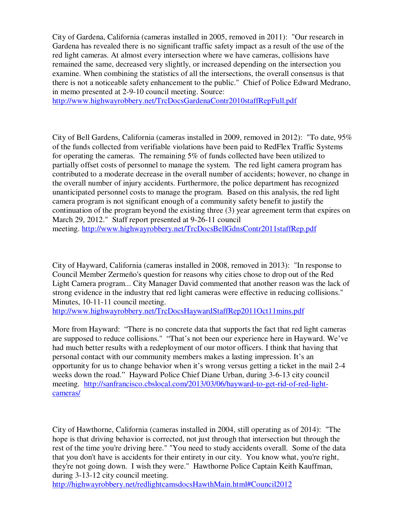City of Gardena, California (cameras installed in 2005, removed in 2011): "Our research in Gardena has revealed there is no significant traffic safety impact as a result of the use of the red light cameras. At almost every intersection where we have cameras, collisions have remained the same, decreased very slightly, or increased depending on the intersection you examine. When combining the statistics of all the intersections, the overall consensus is that there is not a noticeable safety enhancement to the public." Chief of Police Edward Medrano, in memo presented at 2-9-10 council meeting. Source:

http://www.highwayrobbery.net/TrcDocsGardenaContr2010staffRepFull.pdf

City of Bell Gardens, California (cameras installed in 2009, removed in 2012): "To date, 95% of the funds collected from verifiable violations have been paid to RedFlex Traffic Systems for operating the cameras. The remaining 5% of funds collected have been utilized to partially offset costs of personnel to manage the system. The red light camera program has contributed to a moderate decrease in the overall number of accidents; however, no change in the overall number of injury accidents. Furthermore, the police department has recognized unanticipated personnel costs to manage the program. Based on this analysis, the red light camera program is not significant enough of a community safety benefit to justify the continuation of the program beyond the existing three (3) year agreement term that expires on March 29, 2012." Staff report presented at 9-26-11 council meeting. http://www.highwayrobbery.net/TrcDocsBellGdnsContr2011staffRep.pdf

City of Hayward, California (cameras installed in 2008, removed in 2013): "In response to Council Member Zermeño's question for reasons why cities chose to drop out of the Red Light Camera program... City Manager David commented that another reason was the lack of strong evidence in the industry that red light cameras were effective in reducing collisions." Minutes, 10-11-11 council meeting.

http://www.highwayrobbery.net/TrcDocsHaywardStaffRep2011Oct11mins.pdf

More from Hayward: "There is no concrete data that supports the fact that red light cameras are supposed to reduce collisions." "That's not been our experience here in Hayward. We've had much better results with a redeployment of our motor officers. I think that having that personal contact with our community members makes a lasting impression. It's an opportunity for us to change behavior when it's wrong versus getting a ticket in the mail 2-4 weeks down the road." Hayward Police Chief Diane Urban, during 3-6-13 city council meeting. http://sanfrancisco.cbslocal.com/2013/03/06/hayward-to-get-rid-of-red-lightcameras/

City of Hawthorne, California (cameras installed in 2004, still operating as of 2014): "The hope is that driving behavior is corrected, not just through that intersection but through the rest of the time you're driving here." "You need to study accidents overall. Some of the data that you don't have is accidents for their entirety in our city. You know what, you're right, they're not going down. I wish they were." Hawthorne Police Captain Keith Kauffman, during 3-13-12 city council meeting.

http://highwayrobbery.net/redlightcamsdocsHawthMain.html#Council2012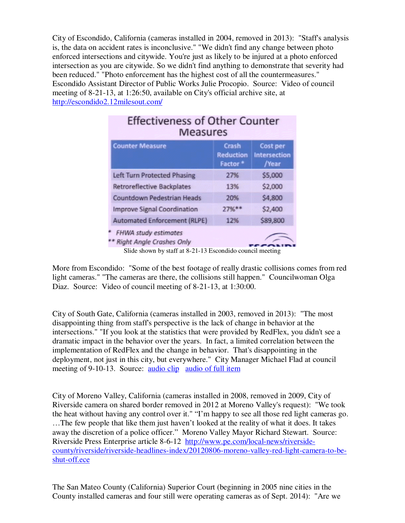City of Escondido, California (cameras installed in 2004, removed in 2013): "Staff's analysis is, the data on accident rates is inconclusive." "We didn't find any change between photo enforced intersections and citywide. You're just as likely to be injured at a photo enforced intersection as you are citywide. So we didn't find anything to demonstrate that severity had been reduced." "Photo enforcement has the highest cost of all the countermeasures." Escondido Assistant Director of Public Works Julie Procopio. Source: Video of council meeting of 8-21-13, at 1:26:50, available on City's official archive site, at http://escondido2.12milesout.com/

| <b>Effectiveness of Other Counter</b><br><b>Measures</b>       |                                                  |                                                 |
|----------------------------------------------------------------|--------------------------------------------------|-------------------------------------------------|
| <b>Counter Measure</b>                                         | Crash<br><b>Reduction</b><br>Factor <sup>*</sup> | <b>Cost per</b><br><b>Intersection</b><br>/Year |
| <b>Left Turn Protected Phasing</b>                             | 27%                                              | \$5,000                                         |
| <b>Retroreflective Backplates</b>                              | 13%                                              | \$2,000                                         |
| <b>Countdown Pedestrian Heads</b>                              | 20%                                              | \$4,800                                         |
| <b>Improve Signal Coordination</b>                             | $27%$ **                                         | \$2,400                                         |
| <b>Automated Enforcement (RLPE)</b>                            | 12%                                              | \$89,800                                        |
| <b>FHWA study estimates</b><br><b>Right Angle Crashes Only</b> |                                                  |                                                 |

Slide shown by staff at 8-21-13 Escondido council meeting

More from Escondido: "Some of the best footage of really drastic collisions comes from red light cameras." "The cameras are there, the collisions still happen." Councilwoman Olga Diaz. Source: Video of council meeting of 8-21-13, at 1:30:00.

City of South Gate, California (cameras installed in 2003, removed in 2013): "The most disappointing thing from staff's perspective is the lack of change in behavior at the intersections." "If you look at the statistics that were provided by RedFlex, you didn't see a dramatic impact in the behavior over the years. In fact, a limited correlation between the implementation of RedFlex and the change in behavior. That's disappointing in the deployment, not just in this city, but everywhere."City Manager Michael Flad at council meeting of 9-10-13. Source: audio clip audio of full item

City of Moreno Valley, California (cameras installed in 2008, removed in 2009, City of Riverside camera on shared border removed in 2012 at Moreno Valley's request): "We took the heat without having any control over it." "I'm happy to see all those red light cameras go. …The few people that like them just haven't looked at the reality of what it does. It takes away the discretion of a police officer." Moreno Valley Mayor Richard Stewart. Source: Riverside Press Enterprise article 8-6-12 http://www.pe.com/local-news/riversidecounty/riverside/riverside-headlines-index/20120806-moreno-valley-red-light-camera-to-beshut-off.ece

The San Mateo County (California) Superior Court (beginning in 2005 nine cities in the County installed cameras and four still were operating cameras as of Sept. 2014): "Are we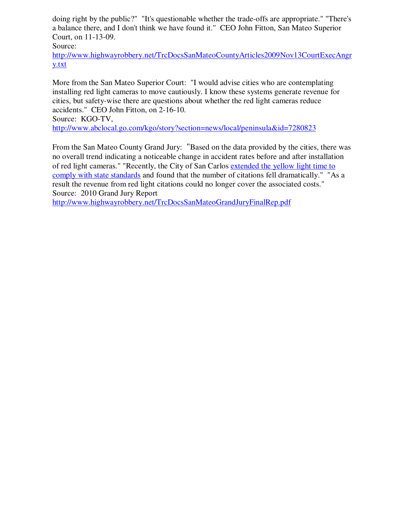doing right by the public?" "It's questionable whether the trade-offs are appropriate." "There's a balance there, and I don't think we have found it." CEO John Fitton, San Mateo Superior Court, on 11-13-09.

Source:

http://www.highwayrobbery.net/TrcDocsSanMateoCountyArticles2009Nov13CourtExecAngr y.txt

More from the San Mateo Superior Court: "I would advise cities who are contemplating installing red light cameras to move cautiously. I know these systems generate revenue for cities, but safety-wise there are questions about whether the red light cameras reduce accidents." CEO John Fitton, on 2-16-10.

Source: KGO-TV,

http://www.abclocal.go.com/kgo/story?section=news/local/peninsula&id=7280823

From the San Mateo County Grand Jury: "Based on the data provided by the cities, there was no overall trend indicating a noticeable change in accident rates before and after installation of red light cameras." "Recently, the City of San Carlos extended the yellow light time to comply with state standards and found that the number of citations fell dramatically." "As a result the revenue from red light citations could no longer cover the associated costs." Source: 2010 Grand Jury Report

http://www.highwayrobbery.net/TrcDocsSanMateoGrandJuryFinalRep.pdf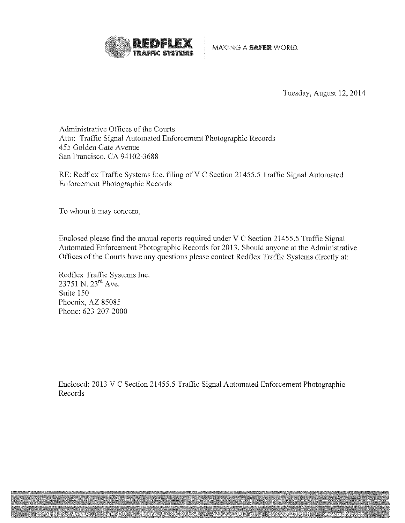

MAKING A SAFER WORLD.

Tuesday, August 12, 2014

Administrative Offices of the Courts Attn: Traffic Signal Automated Enforcement Photographic Records 455 Golden Gate Avenue San Francisco, CA 94102-3688

RE: Redflex Traffic Systems Inc. filing of V C Section 21455.5 Traffic Signal Automated **Enforcement Photographic Records** 

To whom it may concern,

Enclosed please find the annual reports required under V C Section 21455.5 Traffic Signal Automated Enforcement Photographic Records for 2013. Should anyone at the Administrative Offices of the Courts have any questions please contact Redflex Traffic Systems directly at:

Redflex Traffic Systems Inc.  $23751$  N.  $23^{rd}$  Ave. Suite 150 Phoenix, AZ 85085 Phone: 623-207-2000

Enclosed: 2013 V C Section 21455.5 Traffic Signal Automated Enforcement Photographic Records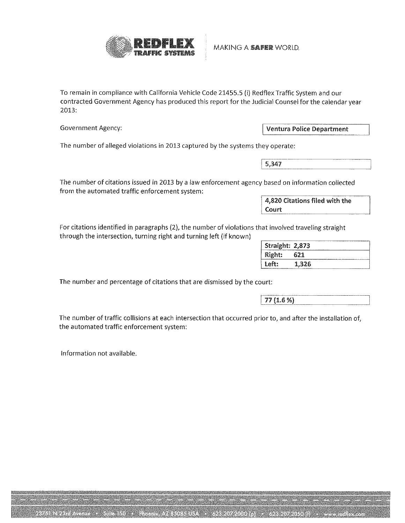

MAKING A SAFER WORLD.

To remain in compliance with California Vehicle Code 21455.5 (i) Redflex Traffic System and our contracted Government Agency has produced this report for the Judicial Counsel for the calendar year 2013:

**Government Agency:** 

**Ventura Police Department** 

The number of alleged violations in 2013 captured by the systems they operate:

5,347

The number of citations issued in 2013 by a law enforcement agency based on information collected from the automated traffic enforcement system:

> 4,820 Citations filed with the Court

For citations identified in paragraphs (2), the number of violations that involved traveling straight through the intersection, turning right and turning left (if known)

| <b>Straight: 2,873</b> |                     |  |
|------------------------|---------------------|--|
| Right:                 | 67 I                |  |
| Left:                  | 1,326<br>---------- |  |

The number and percentage of citations that are dismissed by the court:

77 (1.6 %)

The number of traffic collisions at each intersection that occurred prior to, and after the installation of, the automated traffic enforcement system:

Information not available.